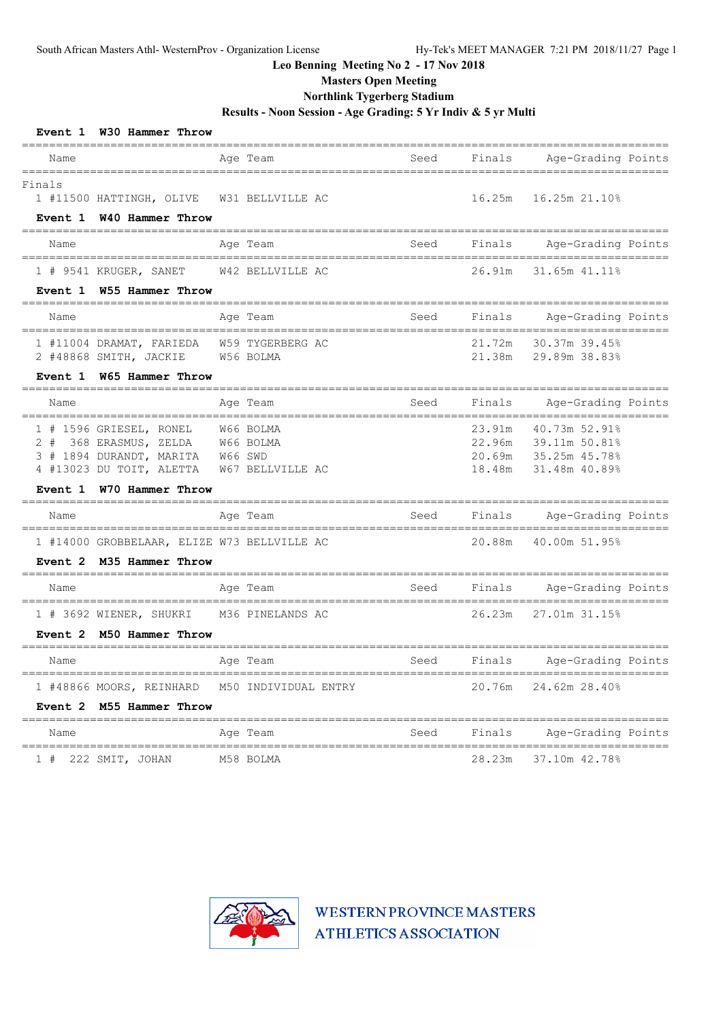**Masters Open Meeting**

## **Northlink Tygerberg Stadium**

**Results - Noon Session - Age Grading: 5 Yr Indiv & 5 yr Multi**

| Event 1 W30 Hammer Throw                                                                                                    |                                     |                     |                  |                                                                                |  |
|-----------------------------------------------------------------------------------------------------------------------------|-------------------------------------|---------------------|------------------|--------------------------------------------------------------------------------|--|
| Name                                                                                                                        | Age Team                            | Seed                | Finals           | Age-Grading Points                                                             |  |
| ================<br>Finals<br>1 #11500 HATTINGH, OLIVE<br>Event 1 W40 Hammer Throw                                          | ===============<br>W31 BELLVILLE AC | =======<br>======== | 16.25m           | ========<br>===========<br>16.25m 21.10%                                       |  |
| Name                                                                                                                        | Age Team                            | Seed                | Finals           | Age-Grading Points                                                             |  |
| 1 # 9541 KRUGER, SANET<br>Event 1 W55 Hammer Throw                                                                          | W42 BELLVILLE AC                    |                     | 26.91m           | 31.65m 41.11%                                                                  |  |
| Name                                                                                                                        | Age Team                            | Seed                | Finals           | Age-Grading Points                                                             |  |
| 1 #11004 DRAMAT, FARIEDA<br>2 #48868 SMITH, JACKIE                                                                          | W59 TYGERBERG AC<br>W56 BOLMA       |                     | 21.72m<br>21.38m | 30.37m 39.45%<br>29.89m 38.83%                                                 |  |
| Event 1 W65 Hammer Throw                                                                                                    |                                     |                     |                  |                                                                                |  |
| Name                                                                                                                        | Age Team                            | Seed                | Finals           | Age-Grading Points                                                             |  |
| 1 # 1596 GRIESEL, RONEL<br>2 # 368 ERASMUS, ZELDA W66 BOLMA<br>3 # 1894 DURANDT, MARITA W66 SWD<br>4 #13023 DU TOIT, ALETTA | W66 BOLMA<br>W67 BELLVILLE AC       |                     | 23.91m<br>18.48m | 40.73m 52.91%<br>22.96m 39.11m 50.81%<br>20.69m 35.25m 45.78%<br>31.48m 40.89% |  |
| Event 1 W70 Hammer Throw                                                                                                    |                                     |                     |                  |                                                                                |  |
| Name                                                                                                                        | Age Team<br>===============         | Seed                | Finals           | Age-Grading Points<br>____________________________                             |  |
| 1 #14000 GROBBELAAR, ELIZE W73 BELLVILLE AC                                                                                 |                                     |                     | 20.88m           | 40.00m 51.95%                                                                  |  |
| Event 2 M35 Hammer Throw                                                                                                    |                                     |                     |                  |                                                                                |  |
| Name                                                                                                                        | Age Team                            | Seed                | Finals           | Age-Grading Points                                                             |  |
| 1 # 3692 WIENER, SHUKRI<br>Event 2 M50 Hammer Throw                                                                         | M36 PINELANDS AC                    |                     | 26.23m           | 27.01m 31.15%                                                                  |  |
| Name                                                                                                                        | Age Team                            | Seed                | Finals           | Age-Grading Points                                                             |  |
| 1 #48866 MOORS, REINHARD M50 INDIVIDUAL ENTRY<br>Event 2 M55 Hammer Throw                                                   |                                     |                     | 20.76m           | 24.62m 28.40%                                                                  |  |
| Name                                                                                                                        | Age Team                            | Seed                | Finals           | Age-Grading Points                                                             |  |
| 222 SMIT, JOHAN<br>1#                                                                                                       | M58 BOLMA                           |                     | 28.23m           | 37.10m 42.78%                                                                  |  |

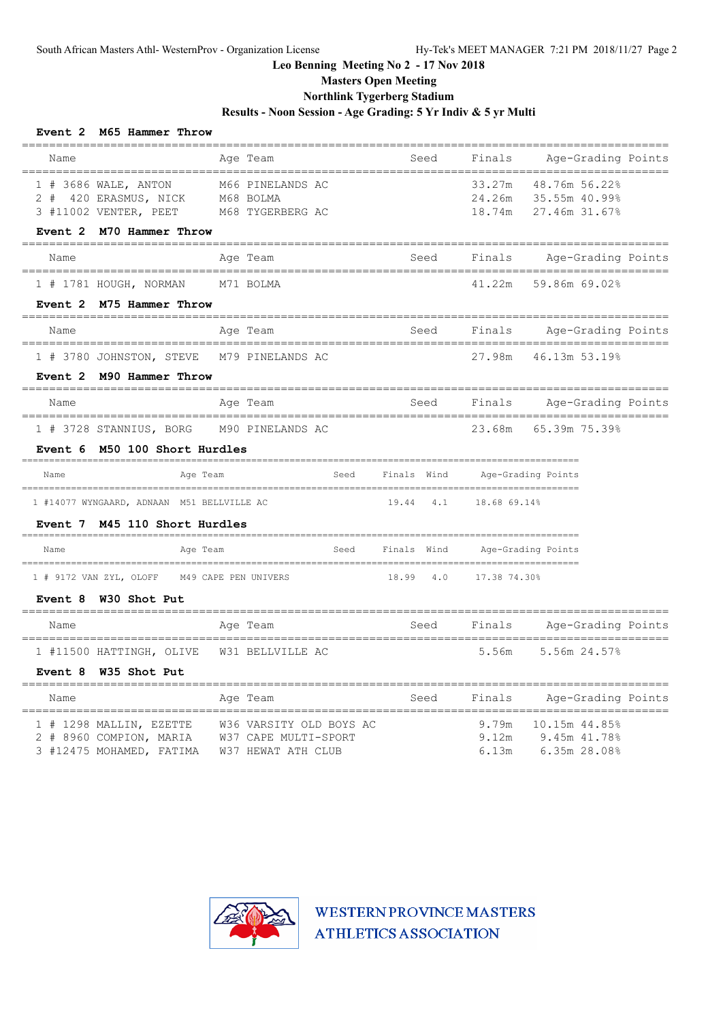# **Masters Open Meeting**

# **Northlink Tygerberg Stadium**

**Results - Noon Session - Age Grading: 5 Yr Indiv & 5 yr Multi**

| Event 2 M65 Hammer Throw                                                                     |                                                                       |                  |                            |                                                 |            |
|----------------------------------------------------------------------------------------------|-----------------------------------------------------------------------|------------------|----------------------------|-------------------------------------------------|------------|
| Name                                                                                         | Age Team                                                              | Seed             | Finals                     | Age-Grading Points                              |            |
| 1 # 3686 WALE, ANTON<br>$2 \#$<br>420 ERASMUS, NICK<br>3 #11002 VENTER, PEET                 | M66 PINELANDS AC<br>M68 BOLMA<br>M68 TYGERBERG AC                     |                  | 33.27m<br>24.26m<br>18.74m | 48.76m 56.22%<br>35.55m 40.99%<br>27.46m 31.67% |            |
| M70 Hammer Throw<br>Event 2                                                                  |                                                                       |                  |                            |                                                 |            |
| Name                                                                                         | Age Team                                                              | Seed             | Finals                     | Age-Grading Points                              |            |
| 1 # 1781 HOUGH, NORMAN<br>Event 2 M75 Hammer Throw                                           | M71 BOLMA                                                             |                  | 41.22m                     | 59.86m 69.02%                                   |            |
| ----------------------<br>Name                                                               | ============<br>Age Team                                              | Seed             | Finals                     | Age-Grading Points                              | ========== |
| 1 # 3780 JOHNSTON, STEVE<br>Event 2 M90 Hammer Throw                                         | M79 PINELANDS AC                                                      |                  | 27.98m                     | 46.13m 53.19%                                   |            |
| Name                                                                                         | Age Team                                                              | Seed             | Finals                     | Age-Grading Points                              |            |
| ================================<br>1 # 3728 STANNIUS, BORG<br>Event 6 M50 100 Short Hurdles | M90 PINELANDS AC                                                      |                  | 23.68m                     | 65.39m 75.39%                                   |            |
| Name<br>Age Team                                                                             | Seed                                                                  | Finals Wind      |                            | Age-Grading Points                              |            |
| 1 #14077 WYNGAARD, ADNAAN M51 BELLVILLE AC<br>Event 7 M45 110 Short Hurdles                  |                                                                       | 19.44 4.1        | 18.68 69.14%               |                                                 |            |
| Name<br>Age Team                                                                             |                                                                       | Seed Finals Wind |                            | Age-Grading Points                              |            |
| 1 # 9172 VAN ZYL, OLOFF<br>W30 Shot Put<br>Event 8                                           | M49 CAPE PEN UNIVERS                                                  | 18.99<br>4.0     | 17.38 74.30%               |                                                 |            |
| Name                                                                                         | Age Team                                                              | Seed             | Finals                     | Age-Grading Points                              |            |
| ================================<br>1 #11500 HATTINGH, OLIVE<br>Event 8 W35 Shot Put         | W31 BELLVILLE AC                                                      |                  | 5.56m                      | 5.56m 24.57%                                    |            |
| ------------------------------------<br>Name                                                 | Age Team                                                              | Seed             | Finals                     | Age-Grading Points                              |            |
| 1 # 1298 MALLIN, EZETTE<br>2 # 8960 COMPION, MARIA<br>3 #12475 MOHAMED, FATIMA               | W36 VARSITY OLD BOYS AC<br>W37 CAPE MULTI-SPORT<br>W37 HEWAT ATH CLUB |                  | 9.79m<br>9.12m<br>6.13m    | 10.15m 44.85%<br>9.45m 41.78%<br>6.35m 28.08%   |            |

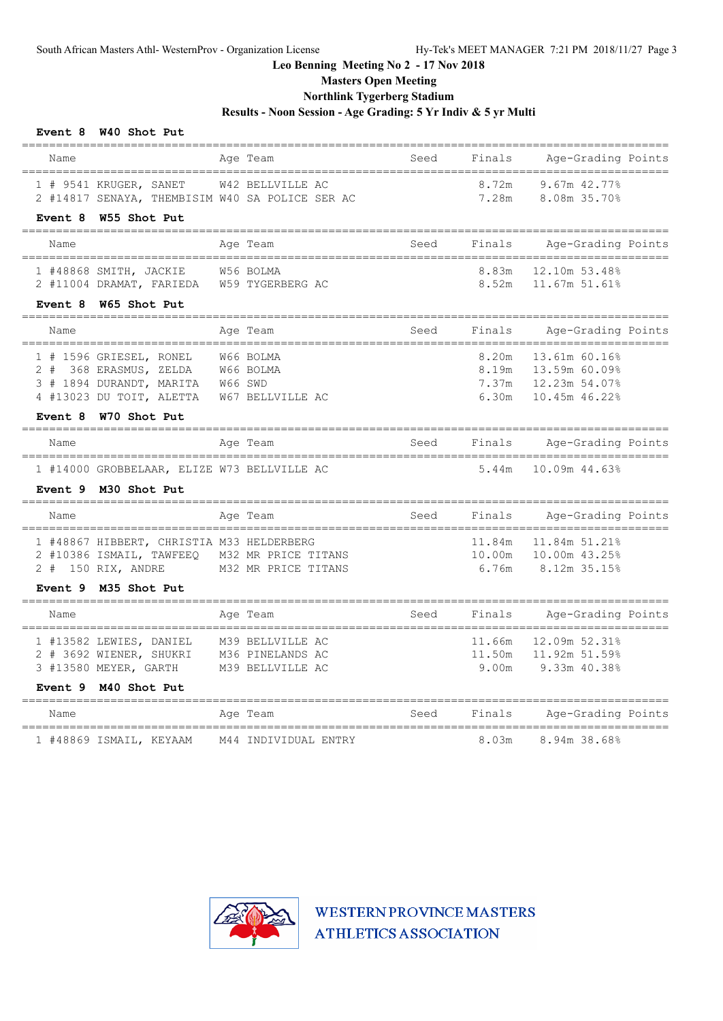**Masters Open Meeting**

## **Northlink Tygerberg Stadium**

**Results - Noon Session - Age Grading: 5 Yr Indiv & 5 yr Multi**

#### **Event 8 W40 Shot Put**

|                                                             | ========                                       |      |        | __________________________                           |  |
|-------------------------------------------------------------|------------------------------------------------|------|--------|------------------------------------------------------|--|
| Name                                                        | Age Team                                       | Seed | Finals | Age-Grading Points                                   |  |
| 1 # 9541 KRUGER, SANET                                      | W42 BELLVILLE AC                               |      | 8.72m  | 9.67m 42.77%                                         |  |
| 2 #14817 SENAYA, THEMBISIM W40 SA POLICE SER AC             |                                                |      | 7.28m  | 8.08m 35.70%                                         |  |
| Event 8<br>W55 Shot Put                                     |                                                |      |        |                                                      |  |
| Name<br>--------------------------------                    | Age Team<br>------------------------------     | Seed | Finals | Age-Grading Points<br>---------------------------    |  |
| 1 #48868 SMITH, JACKIE                                      | W56 BOLMA                                      |      | 8.83m  | 12.10m 53.48%                                        |  |
| 2 #11004 DRAMAT, FARIEDA                                    | W59 TYGERBERG AC                               |      | 8.52m  | 11.67m 51.61%                                        |  |
| W65 Shot Put<br>Event 8                                     |                                                |      |        |                                                      |  |
| Name                                                        | Age Team                                       | Seed | Finals | Age-Grading Points                                   |  |
| 1 # 1596 GRIESEL, RONEL                                     | W66 BOLMA                                      |      | 8.20m  | 13.61m 60.16%                                        |  |
| 2 # 368 ERASMUS, ZELDA                                      | W66 BOLMA                                      |      |        | 8.19m 13.59m 60.09%                                  |  |
| 3 # 1894 DURANDT, MARITA                                    | W66 SWD                                        |      |        | 7.37m 12.23m 54.07%                                  |  |
| 4 #13023 DU TOIT, ALETTA                                    | W67 BELLVILLE AC                               |      | 6.30m  | 10.45m 46.22%                                        |  |
| W70 Shot Put<br>Event 8<br>==============================   |                                                |      |        |                                                      |  |
| Name                                                        | Age Team                                       | Seed | Finals | Age-Grading Points                                   |  |
| 1 #14000 GROBBELAAR, ELIZE W73 BELLVILLE AC                 |                                                |      | 5.44m  | 10.09m 44.63%                                        |  |
| Event 9 M30 Shot Put                                        |                                                |      |        |                                                      |  |
| Name                                                        | Age Team                                       | Seed | Finals | Age-Grading Points<br>============================== |  |
| 1 #48867 HIBBERT, CHRISTIA M33 HELDERBERG                   |                                                |      | 11.84m | 11.84m 51.21%                                        |  |
| 2 #10386 ISMAIL, TAWFEEQ                                    | M32 MR PRICE TITANS                            |      | 10.00m | 10.00m 43.25%                                        |  |
| 2 # 150 RIX, ANDRE                                          | M32 MR PRICE TITANS                            |      | 6.76m  | 8.12m 35.15%                                         |  |
| Event 9 M35 Shot Put                                        |                                                |      |        |                                                      |  |
| Name<br>--------------------------------                    | Age Team                                       | Seed | Finals | Age-Grading Points<br>================               |  |
| 1 #13582 LEWIES, DANIEL                                     | M39 BELLVILLE AC                               |      | 11.66m | 12.09m 52.31%                                        |  |
| 2 # 3692 WIENER, SHUKRI                                     | M36 PINELANDS AC                               |      | 11.50m | 11.92m 51.59%                                        |  |
| 3 #13580 MEYER, GARTH                                       | M39 BELLVILLE AC                               |      | 9.00m  | 9.33m 40.38%                                         |  |
| M40 Shot Put<br>Event 9                                     |                                                |      |        |                                                      |  |
| Name                                                        | Age Team                                       | Seed | Finals | Age-Grading Points                                   |  |
| --------------------------------<br>1 #48869 ISMAIL, KEYAAM | ======================<br>M44 INDIVIDUAL ENTRY |      | 8.03m  | =========<br>8.94m 38.68%                            |  |

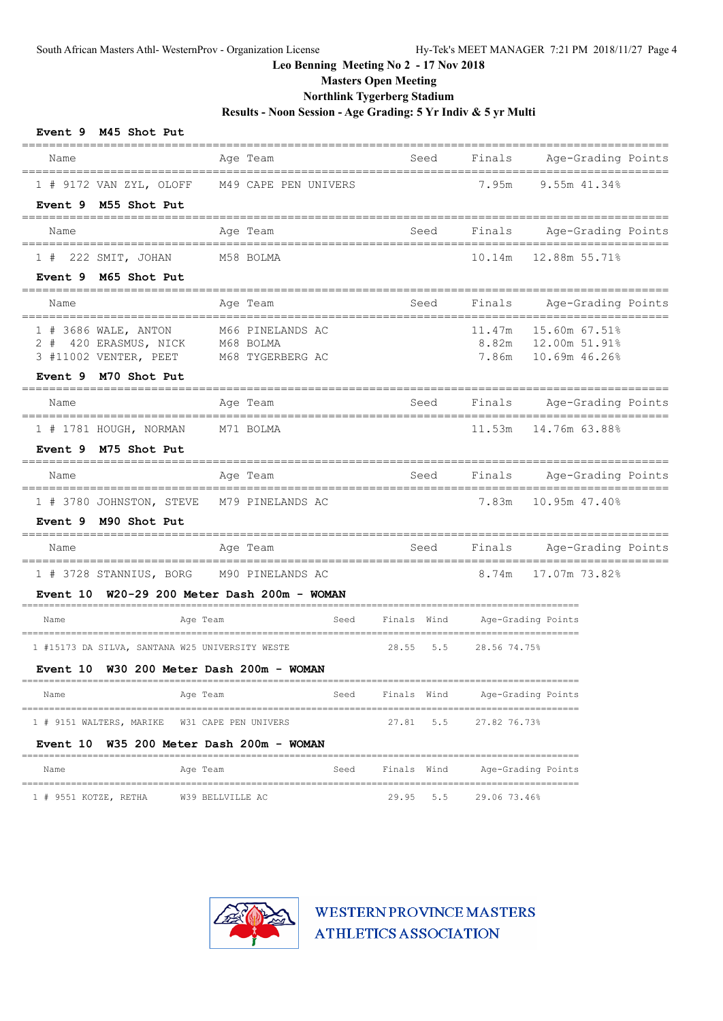**Masters Open Meeting**

## **Northlink Tygerberg Stadium**

**Results - Noon Session - Age Grading: 5 Yr Indiv & 5 yr Multi**

| Event 9 M45 Shot Put                                                                           |                                                                                           |      |                               |              |                                                               |  |
|------------------------------------------------------------------------------------------------|-------------------------------------------------------------------------------------------|------|-------------------------------|--------------|---------------------------------------------------------------|--|
| Name                                                                                           | Age Team                                                                                  |      | Seed<br>--------------------- |              | Finals Age-Grading Points                                     |  |
| 1 # 9172 VAN ZYL, OLOFF<br>Event 9 M55 Shot Put                                                | M49 CAPE PEN UNIVERS                                                                      |      |                               | 7.95m        | 9.55m 41.34%                                                  |  |
| Name                                                                                           | Age Team                                                                                  |      | Seed                          |              | Finals Age-Grading Points                                     |  |
| 1 # 222 SMIT, JOHAN                                                                            | M58 BOLMA                                                                                 |      |                               | 10.14m       | 12.88m 55.71%                                                 |  |
| Event 9 M65 Shot Put<br>______________________                                                 |                                                                                           |      |                               |              |                                                               |  |
| Name                                                                                           | Age Team                                                                                  |      | Seed                          |              | Finals Age-Grading Points                                     |  |
| 1 # 3686 WALE, ANTON<br>2 # 420 ERASMUS, NICK<br>3 #11002 VENTER, PEET<br>Event 9 M70 Shot Put | M66 PINELANDS AC<br>M68 BOLMA<br>M68 TYGERBERG AC                                         |      |                               | 11.47m       | 15.60m 67.51%<br>8.82m  12.00m  51.91%<br>7.86m 10.69m 46.26% |  |
| Name                                                                                           | Age Team                                                                                  |      | Seed                          |              | Finals Age-Grading Points                                     |  |
| 1 # 1781 HOUGH, NORMAN<br>Event 9 M75 Shot Put                                                 | M71 BOLMA                                                                                 |      |                               | 11.53m       | 14.76m 63.88%                                                 |  |
| Name                                                                                           | Age Team                                                                                  |      | Seed                          | Finals       | Age-Grading Points                                            |  |
| 1 # 3780 JOHNSTON, STEVE<br>Event 9 M90 Shot Put                                               | M79 PINELANDS AC                                                                          |      |                               | 7.83m        | 10.95m 47.40%                                                 |  |
| Name                                                                                           | Age Team                                                                                  |      | Seed                          | Finals       | Age-Grading Points                                            |  |
|                                                                                                | 1 # 3728 STANNIUS, BORG M90 PINELANDS AC<br>Event $10$ W20-29 200 Meter Dash 200m - WOMAN |      |                               | 8.74m        | 17.07m 73.82%                                                 |  |
| Name                                                                                           | Age Team                                                                                  | Seed | Finals Wind                   |              | Age-Grading Points                                            |  |
| 1 #15173 DA SILVA, SANTANA W25 UNIVERSITY WESTE                                                | Event 10 W30 200 Meter Dash 200m - WOMAN                                                  |      | 28.55<br>5.5                  | 28.56 74.75% |                                                               |  |
| Name                                                                                           | Age Team                                                                                  | Seed | Finals Wind                   |              | Age-Grading Points                                            |  |
| 1 # 9151 WALTERS, MARIKE                                                                       | W31 CAPE PEN UNIVERS                                                                      |      | 27.81<br>5.5                  | 27.82 76.73% |                                                               |  |
| Event 10                                                                                       | W35 200 Meter Dash 200m - WOMAN                                                           |      |                               |              |                                                               |  |
| Name                                                                                           | Age Team                                                                                  | Seed | Finals Wind                   |              | Age-Grading Points                                            |  |
| 1 # 9551 KOTZE, RETHA                                                                          | W39 BELLVILLE AC                                                                          |      | 29.95<br>5.5                  | 29.06 73.46% |                                                               |  |

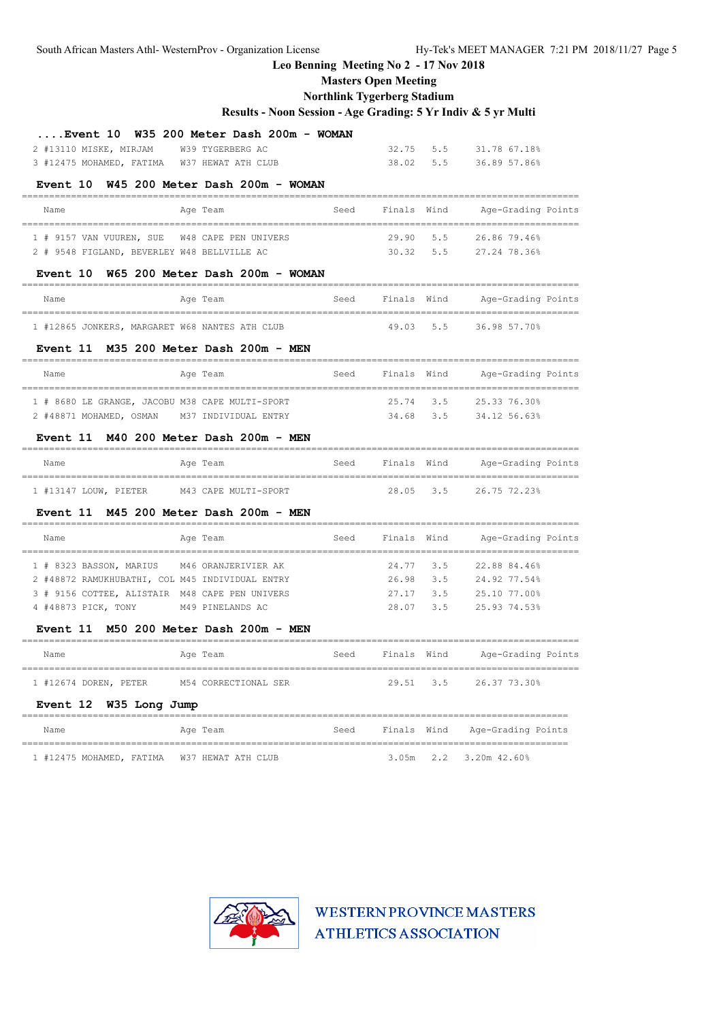South African Masters Athl- WesternProv - Organization License Hy-Tek's MEET MANAGER 7:21 PM 2018/11/27 Page 5

# **Leo Benning Meeting No 2 - 17 Nov 2018**

**Masters Open Meeting**

#### **Northlink Tygerberg Stadium**

|                                                                        | Results - Noon Session - Age Grading: 5 Yr Indiv & 5 yr Multi  |      |                        |           |                                |
|------------------------------------------------------------------------|----------------------------------------------------------------|------|------------------------|-----------|--------------------------------|
|                                                                        | $\ldots$ . Event 10 $\,$ W35 200 Meter Dash 200m - WOMAN       |      |                        |           |                                |
| 2 #13110 MISKE, MIRJAM W39 TYGERBERG AC                                |                                                                |      | 32.75 5.5              |           | 31.78 67.18%                   |
| 3 #12475 MOHAMED, FATIMA W37 HEWAT ATH CLUB                            |                                                                |      |                        |           | 38.02 5.5 36.89 57.86%         |
|                                                                        | Event 10 W45 200 Meter Dash 200m - WOMAN                       |      |                        |           |                                |
|                                                                        |                                                                |      |                        |           |                                |
| Name                                                                   | Age Team                                                       | Seed | Finals Wind            |           | Age-Grading Points             |
| 1 # 9157 VAN VUUREN, SUE W48 CAPE PEN UNIVERS                          |                                                                |      |                        |           | 29.90 5.5 26.86 79.46%         |
| 2 # 9548 FIGLAND, BEVERLEY W48 BELLVILLE AC                            |                                                                |      |                        |           | 30.32 5.5 27.24 78.36%         |
|                                                                        | Event $10$ W65 200 Meter Dash 200m - WOMAN                     |      |                        |           |                                |
| Name                                                                   | Age Team                                                       | Seed | Finals Wind            |           | Age-Grading Points             |
| 1 #12865 JONKERS, MARGARET W68 NANTES ATH CLUB                         |                                                                |      |                        |           | 49.03 5.5 36.98 57.70%         |
|                                                                        | Event $11$ M35 200 Meter Dash 200m - MEN                       |      |                        |           |                                |
| Name                                                                   | Age Team                                                       | Seed | Finals Wind            |           | Age-Grading Points             |
| 1 # 8680 LE GRANGE, JACOBU M38 CAPE MULTI-SPORT                        |                                                                |      |                        |           | 25.74 3.5 25.33 76.30%         |
| 2 #48871 MOHAMED, OSMAN M37 INDIVIDUAL ENTRY 69 14.68 3.5 34.12 56.63% |                                                                |      |                        |           |                                |
|                                                                        | Event 11 M40 200 Meter Dash 200m - MEN<br>-------------------- |      |                        |           |                                |
| Name                                                                   | Age Team                                                       | Seed |                        |           | Finals Wind Age-Grading Points |
| 1 #13147 LOUW, PIETER M43 CAPE MULTI-SPORT                             |                                                                |      |                        |           | 28.05 3.5 26.75 72.23%         |
|                                                                        | Event 11 M45 200 Meter Dash 200m - MEN                         |      |                        |           |                                |
| Name<br>---------------------------------                              | Age Team                                                       | Seed | Finals Wind            |           | Age-Grading Points             |
| 1 # 8323 BASSON, MARIUS M46 ORANJERIVIER AK                            |                                                                |      | 24.77 3.5              |           | 22.88 84.46%                   |
| 2 #48872 RAMUKHUBATHI, COL M45 INDIVIDUAL ENTRY                        |                                                                |      | 26.98 3.5              |           | 24.92 77.54%                   |
| 3 # 9156 COTTEE, ALISTAIR M48 CAPE PEN UNIVERS                         |                                                                |      | 27.17 3.5              |           | 25.10 77.00%                   |
| 4 #48873 PICK, TONY M49 PINELANDS AC                                   |                                                                |      |                        | 28.07 3.5 | 25.93 74.53%                   |
|                                                                        | Event 11 M50 200 Meter Dash 200m - MEN                         |      |                        |           |                                |
| Name                                                                   | Age Team                                                       | Seed | Finals Wind            |           | Age-Grading Points             |
| 1 #12674 DOREN, PETER                                                  | M54 CORRECTIONAL SER                                           |      | 29.51                  | 3.5       | 26.37 73.30%                   |
| Event 12 W35 Long Jump                                                 |                                                                |      |                        |           |                                |
| Name<br>=======================<br>======                              | Age Team                                                       | Seed | Finals Wind<br>======= |           | Age-Grading Points             |
| 1 #12475 MOHAMED, FATIMA W37 HEWAT ATH CLUB                            |                                                                |      | 3.05m                  | 2.2       | 3.20m 42.60%                   |

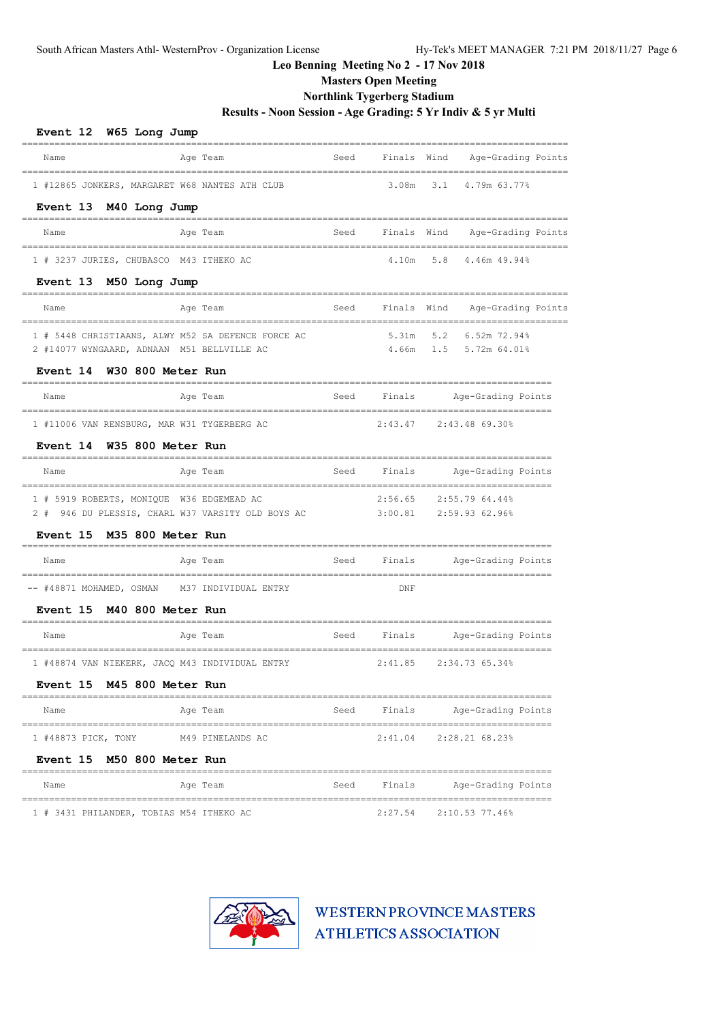# **Masters Open Meeting**

## **Northlink Tygerberg Stadium**

**Results - Noon Session - Age Grading: 5 Yr Indiv & 5 yr Multi**

| Event 12 W65 Long Jump                             |          |      |             |                                     |
|----------------------------------------------------|----------|------|-------------|-------------------------------------|
| Name                                               | Age Team | Seed | Finals Wind | Age-Grading Points                  |
| 1 #12865 JONKERS, MARGARET W68 NANTES ATH CLUB     |          |      |             | 3.08m 3.1 4.79m 63.77%              |
| Event 13 M40 Long Jump                             |          |      |             |                                     |
| Name                                               | Age Team | Seed |             | Finals Wind Age-Grading Points      |
| 1 # 3237 JURIES, CHUBASCO M43 ITHEKO AC            |          |      | 4.10m 5.8   | 4.46m 49.94%                        |
| Event 13 M50 Long Jump                             |          |      |             |                                     |
| Name                                               | Age Team |      |             | Seed Finals Wind Age-Grading Points |
| 1 # 5448 CHRISTIAANS, ALWY M52 SA DEFENCE FORCE AC |          |      |             | 5.31m 5.2 6.52m 72.94%              |
| 2 #14077 WYNGAARD, ADNAAN M51 BELLVILLE AC         |          |      |             | 4.66m 1.5 5.72m 64.01%              |
| Event 14 W30 800 Meter Run<br>______               |          |      |             |                                     |
| Name                                               | Age Team | Seed |             | Finals Mge-Grading Points           |
| 1 #11006 VAN RENSBURG, MAR W31 TYGERBERG AC        |          |      |             | 2:43.47 2:43.48 69.30%              |
| Event 14 W35 800 Meter Run<br>======               |          |      |             |                                     |
| Name                                               | Age Team | Seed |             | Finals Age-Grading Points           |
| 1 # 5919 ROBERTS, MONIQUE W36 EDGEMEAD AC          |          |      |             | 2:56.65 2:55.79 64.44%              |
| 2 # 946 DU PLESSIS, CHARL W37 VARSITY OLD BOYS AC  |          |      |             | 3:00.81 2:59.93 62.96%              |
| Event 15 M35 800 Meter Run                         |          |      |             |                                     |
| Name                                               | Age Team | Seed |             | Finals Age-Grading Points           |
| -- #48871 MOHAMED, OSMAN M37 INDIVIDUAL ENTRY      |          |      | DNF         |                                     |
| Event 15 M40 800 Meter Run                         |          |      |             |                                     |
| Name                                               | Age Team | Seed |             | Finals Age-Grading Points           |
| 1 #48874 VAN NIEKERK, JACQ M43 INDIVIDUAL ENTRY    |          |      |             | 2:41.85 2:34.73 65.34%              |
| Event 15 M45 800 Meter Run                         |          |      |             |                                     |
| Name                                               | Aqe Team |      |             | Seed Finals Age-Grading Points      |
| 1 #48873 PICK, TONY M49 PINELANDS AC               |          |      |             | 2:41.04 2:28.21 68.23%              |
| Event 15 M50 800 Meter Run                         |          |      |             |                                     |
| Name                                               | Age Team |      | Seed Finals | Age-Grading Points                  |
| 1 # 3431 PHILANDER, TOBIAS M54 ITHEKO AC           |          |      |             | 2:27.54 2:10.53 77.46%              |

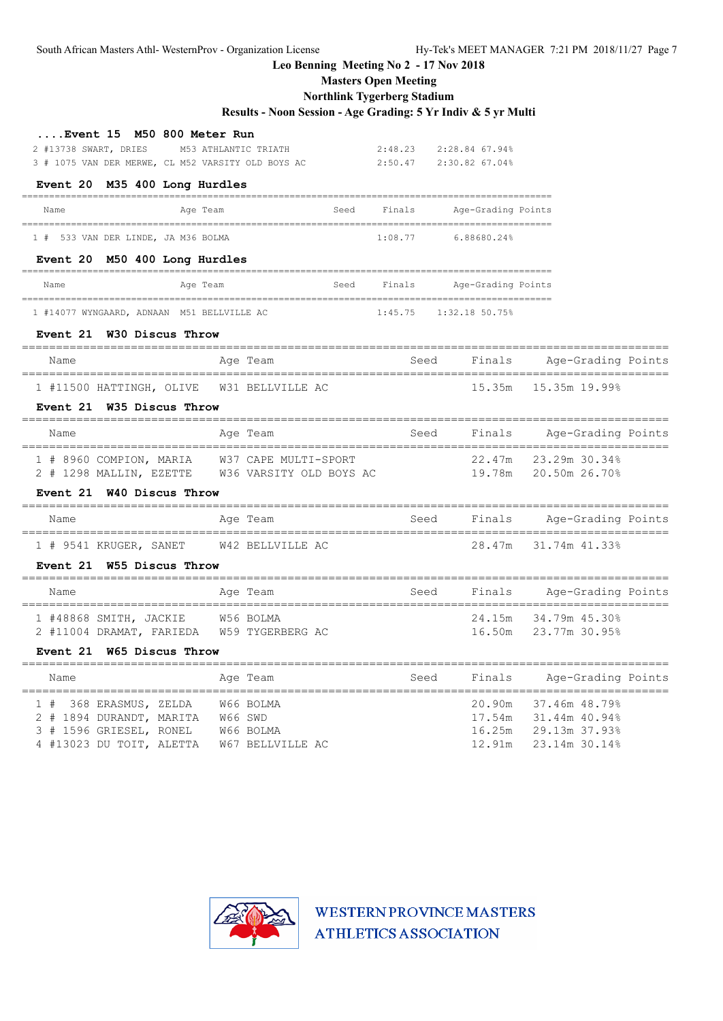South African Masters Athl- WesternProv - Organization License Hy-Tek's MEET MANAGER 7:21 PM 2018/11/27 Page 7

## **Leo Benning Meeting No 2 - 17 Nov 2018**

**Masters Open Meeting**

### **Northlink Tygerberg Stadium**

## **Results - Noon Session - Age Grading: 5 Yr Indiv & 5 yr Multi**

| Event 15 M50 800 Meter Run |                                                    |                            |
|----------------------------|----------------------------------------------------|----------------------------|
| 2 #13738 SWART, DRIES      | M53 ATHLANTIC TRIATH                               | $2:48.23$ $2:28.84$ 67.94% |
|                            | 3 # 1075 VAN DER MERWE, CL M52 VARSITY OLD BOYS AC | 2:50.47 2:30.82 67.04%     |

#### **Event 20 M35 400 Long Hurdles**

| _________________________           |      |         |                    |
|-------------------------------------|------|---------|--------------------|
| Age Team<br>Name                    | Seed | Finals  | Age-Grading Points |
| 1 # 533 VAN DER LINDE, JA M36 BOLMA |      | 1:08.77 | 6.88680.24%        |
| Event 20 M50 400 Long Hurdles       |      |         |                    |
| Name<br>Age Team                    | Seed | Finals  | Age-Grading Points |

=================================================================================================

1 #14077 WYNGAARD, ADNAAN M51 BELLVILLE AC 1:45.75 1:32.18 50.75%

### **Event 21 W30 Discus Throw**

| Name                                      | Age Team | Seed | Finals | Age-Grading Points   |
|-------------------------------------------|----------|------|--------|----------------------|
| 1 #11500 HATTINGH, OLIVE W31 BELLVILLE AC |          |      |        | 15.35m 15.35m 19.99% |

### **Event 21 W35 Discus Throw**

| Name                                               | Age Team                                        | Seed | Finals | Age-Grading Points                           |
|----------------------------------------------------|-------------------------------------------------|------|--------|----------------------------------------------|
| 1 # 8960 COMPION, MARIA<br>2 # 1298 MALLIN, EZETTE | W37 CAPE MULTI-SPORT<br>W36 VARSITY OLD BOYS AC |      |        | 22.47m 23.29m 30.34%<br>19.78m 20.50m 26.70% |

### **Event 21 W40 Discus Throw**

| Name                   | Age Team         | Seed | Finals | Age-Grading Points   |
|------------------------|------------------|------|--------|----------------------|
| 1 # 9541 KRUGER, SANET | W42 BELLVILLE AC |      |        | 28.47m 31.74m 41.33% |

#### **Event 21 W55 Discus Throw**

| Name                     | Age Team         | Seed | Finals | Age-Grading Points   |
|--------------------------|------------------|------|--------|----------------------|
| 1 #48868 SMITH, JACKIE   | W56 BOLMA        |      |        | 24.15m 34.79m 45.30% |
| 2 #11004 DRAMAT, FARIEDA | W59 TYGERBERG AC |      |        | 16.50m 23.77m 30.95% |

### **Event 21 W65 Discus Throw**

|  | Name |                          |         | Age Team         | Seed | Finals | Age-Grading Points          |
|--|------|--------------------------|---------|------------------|------|--------|-----------------------------|
|  |      | 1 # 368 ERASMUS, ZELDA   |         | W66 BOLMA        |      |        | 20.90m 37.46m 48.79%        |
|  |      | 2 # 1894 DURANDT, MARITA | W66 SWD |                  |      |        | 17.54m 31.44m 40.94%        |
|  |      | 3 # 1596 GRIESEL, RONEL  |         | W66 BOLMA        |      |        | 16.25m 29.13m 37.93%        |
|  |      | 4 #13023 DU TOIT, ALETTA |         | W67 BELLVILLE AC |      |        | $12.91m$ $23.14m$ $30.14\%$ |

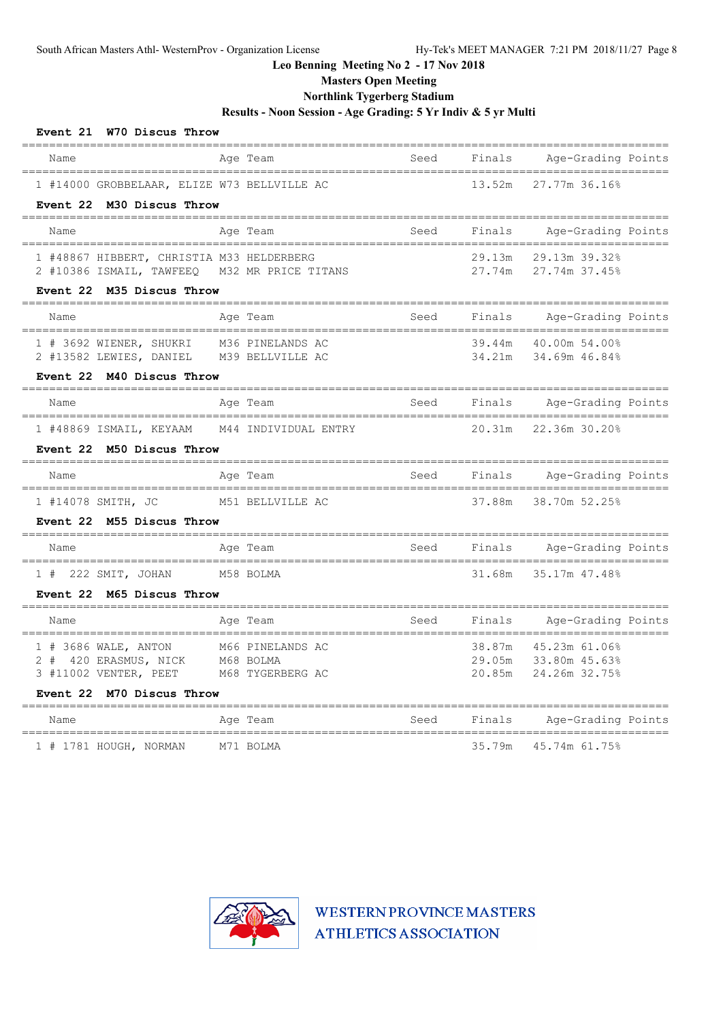**Masters Open Meeting**

## **Northlink Tygerberg Stadium**

**Results - Noon Session - Age Grading: 5 Yr Indiv & 5 yr Multi**

| Event 21 W70 Discus Throw                                                                          |                                                   |      |                  |                                                                           |  |
|----------------------------------------------------------------------------------------------------|---------------------------------------------------|------|------------------|---------------------------------------------------------------------------|--|
| Name                                                                                               | Age Team                                          | Seed | Finals           | Age-Grading Points                                                        |  |
| 1 #14000 GROBBELAAR, ELIZE W73 BELLVILLE AC<br>Event 22 M30 Discus Throw                           |                                                   |      | 13.52m           | 27.77m 36.16%                                                             |  |
| Name                                                                                               | Age Team                                          | Seed | Finals           | --------------------------------<br>Age-Grading Points                    |  |
| 1 #48867 HIBBERT, CHRISTIA M33 HELDERBERG<br>2 #10386 ISMAIL, TAWFEEQ<br>Event 22 M35 Discus Throw | M32 MR PRICE TITANS                               |      | 29.13m           | 29.13m 39.32%<br>27.74m 27.74m 37.45%                                     |  |
| Name                                                                                               | Age Team                                          | Seed |                  | Finals Age-Grading Points                                                 |  |
| 1 # 3692 WIENER, SHUKRI<br>2 #13582 LEWIES, DANIEL                                                 | M36 PINELANDS AC<br>M39 BELLVILLE AC              |      | 34.21m           | ________________________________<br>39.44m 40.00m 54.00%<br>34.69m 46.84% |  |
| Event 22 M40 Discus Throw                                                                          |                                                   |      |                  |                                                                           |  |
| Name<br>===================================                                                        | Age Team                                          | Seed |                  | Finals Age-Grading Points                                                 |  |
| 1 #48869 ISMAIL, KEYAAM M44 INDIVIDUAL ENTRY                                                       |                                                   |      | 20.31m           | 22.36m 30.20%                                                             |  |
| Event 22 M50 Discus Throw                                                                          |                                                   |      |                  |                                                                           |  |
| Name                                                                                               | Age Team                                          | Seed | Finals           | Age-Grading Points                                                        |  |
| 1 #14078 SMITH, JC                                                                                 | M51 BELLVILLE AC                                  |      |                  | 37.88m 38.70m 52.25%                                                      |  |
| Event 22 M55 Discus Throw                                                                          |                                                   |      |                  |                                                                           |  |
| Name                                                                                               | Age Team                                          | Seed | Finals           | Age-Grading Points                                                        |  |
| $1$ # 222 SMIT, JOHAN                                                                              | M58 BOLMA                                         |      | 31.68m           | 35.17m 47.48%                                                             |  |
| Event 22 M65 Discus Throw                                                                          |                                                   |      |                  |                                                                           |  |
| Name                                                                                               | Age Team                                          | Seed | Finals           | Age-Grading Points                                                        |  |
| 1 # 3686 WALE, ANTON<br>2 # 420 ERASMUS, NICK<br>3 #11002 VENTER, PEET                             | M66 PINELANDS AC<br>M68 BOLMA<br>M68 TYGERBERG AC |      | 38.87m<br>20.85m | 45.23m 61.06%<br>29.05m 33.80m 45.63%<br>24.26m 32.75%                    |  |
| Event 22 M70 Discus Throw                                                                          |                                                   |      |                  |                                                                           |  |
| Name                                                                                               | Age Team                                          | Seed | Finals           | Age-Grading Points                                                        |  |
| 1 # 1781 HOUGH, NORMAN                                                                             | M71 BOLMA                                         |      | 35.79m           | 45.74m 61.75%                                                             |  |

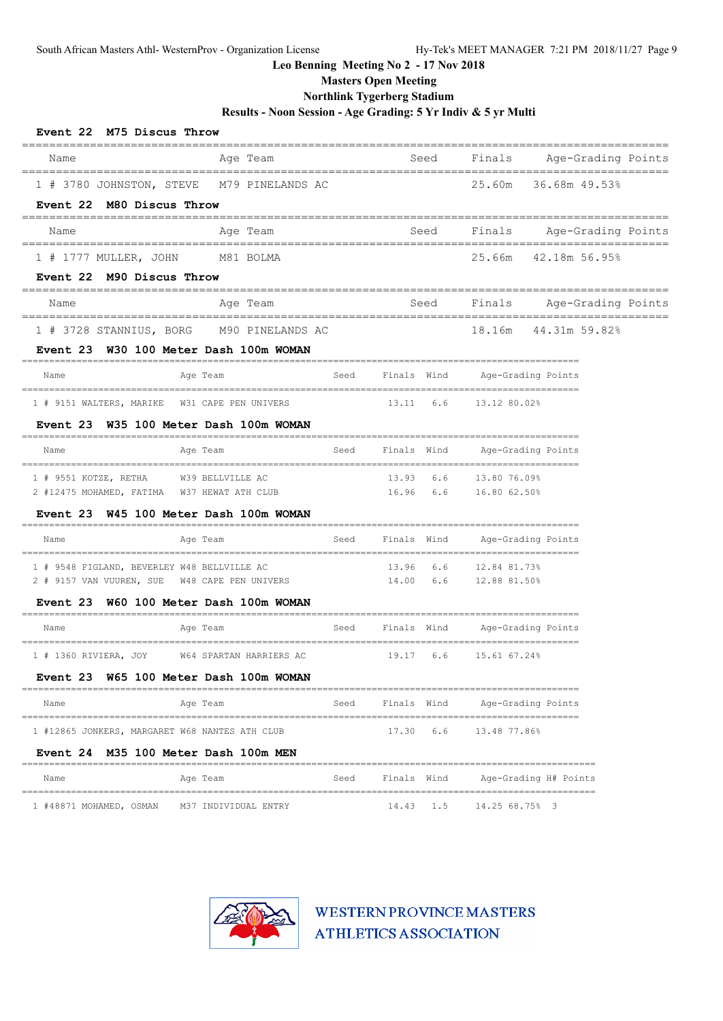**Masters Open Meeting**

## **Northlink Tygerberg Stadium**

**Results - Noon Session - Age Grading: 5 Yr Indiv & 5 yr Multi**

| Event 22 M75 Discus Throw                                                             |                                                   |      |             |      |                                                  |                                                    |  |
|---------------------------------------------------------------------------------------|---------------------------------------------------|------|-------------|------|--------------------------------------------------|----------------------------------------------------|--|
| Name                                                                                  | Aqe Team                                          |      |             | Seed |                                                  | ,,,,,,,,,,,,,,,,,,,,,<br>Finals Age-Grading Points |  |
| 1 # 3780 JOHNSTON, STEVE M79 PINELANDS AC                                             |                                                   |      |             |      |                                                  | 25.60m 36.68m 49.53%                               |  |
| Event 22 M80 Discus Throw                                                             |                                                   |      |             |      |                                                  |                                                    |  |
| Name                                                                                  | Aqe Team                                          |      |             |      |                                                  | Seed Finals Age-Grading Points                     |  |
| 1 # 1777 MULLER, JOHN M81 BOLMA                                                       |                                                   |      |             |      |                                                  | 25.66m 42.18m 56.95%                               |  |
| Event 22 M90 Discus Throw                                                             |                                                   |      |             |      |                                                  |                                                    |  |
| Name                                                                                  | Aqe Team                                          |      |             |      |                                                  | Seed Finals Age-Grading Points                     |  |
| 1 # 3728 STANNIUS, BORG M90 PINELANDS AC                                              |                                                   |      |             |      |                                                  | 18.16m 44.31m 59.82%                               |  |
| Event 23 W30 100 Meter Dash 100m WOMAN                                                |                                                   |      |             |      |                                                  |                                                    |  |
| Name                                                                                  | Age Team                                          |      |             |      | Seed Finals Wind Age-Grading Points              |                                                    |  |
| 1 # 9151 WALTERS, MARIKE W31 CAPE PEN UNIVERS 13.11 6.6 13.12 80.02%                  |                                                   |      |             |      |                                                  |                                                    |  |
| Event 23 W35 100 Meter Dash 100m WOMAN                                                |                                                   |      |             |      |                                                  |                                                    |  |
| Name                                                                                  | Age Team                                          |      |             |      | Seed Finals Wind Age-Grading Points              |                                                    |  |
| 1 # 9551 KOTZE, RETHA W39 BELLVILLE AC                                                |                                                   |      |             |      | 13.93 6.6 13.80 76.09%<br>16.96 6.6 16.80 62.50% |                                                    |  |
| 2 #12475 MOHAMED, FATIMA W37 HEWAT ATH CLUB<br>Event 23 W45 100 Meter Dash 100m WOMAN |                                                   |      |             |      |                                                  |                                                    |  |
| Name                                                                                  | Age Team                                          |      |             |      | Seed Finals Wind Age-Grading Points              |                                                    |  |
|                                                                                       |                                                   |      |             |      |                                                  |                                                    |  |
| 1 # 9548 FIGLAND, BEVERLEY W48 BELLVILLE AC                                           |                                                   |      |             |      | 13.96 6.6 12.84 81.73%<br>14.00 6.6 12.88 81.50% |                                                    |  |
| 2 # 9157 VAN VUUREN, SUE W48 CAPE PEN UNIVERS                                         |                                                   |      |             |      |                                                  |                                                    |  |
| Event 23 W60 100 Meter Dash 100m WOMAN<br>Name                                        | Age Team                                          |      |             |      | Seed Finals Wind Age-Grading Points              |                                                    |  |
|                                                                                       |                                                   |      |             |      |                                                  |                                                    |  |
| 1 # 1360 RIVIERA, JOY W64 SPARTAN HARRIERS AC                                         |                                                   |      |             |      | 19.17 6.6 15.61 67.24%                           |                                                    |  |
| Event 23 W65 100 Meter Dash 100m WOMAN                                                |                                                   |      |             |      |                                                  |                                                    |  |
| Name<br>================================                                              | Age Team<br>===================================== | Seed | Finals Wind |      |                                                  | Age-Grading Points                                 |  |
| 1 #12865 JONKERS, MARGARET W68 NANTES ATH CLUB                                        |                                                   |      | 17.30       | 6.6  | 13.48 77.86%                                     |                                                    |  |
| Event 24 M35 100 Meter Dash 100m MEN                                                  |                                                   |      |             |      |                                                  |                                                    |  |
| Name                                                                                  | Age Team                                          | Seed | Finals Wind |      |                                                  | Age-Grading H# Points                              |  |
| 1 #48871 MOHAMED, OSMAN                                                               | M37 INDIVIDUAL ENTRY                              |      | 14.43       | 1.5  | 14.25 68.75% 3                                   |                                                    |  |